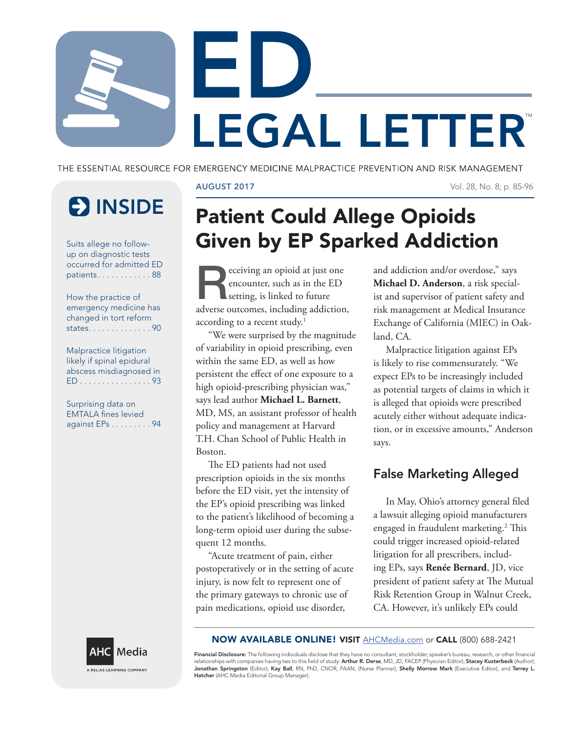LEGAL LETTER®

THE ESSENTIAL RESOURCE FOR EMERGENCY MEDICINE MALPRACTICE PREVENTION AND RISK MANAGEMENT

# **E** INSIDE

Suits allege no followup on diagnostic tests occurred for admitted ED patients . . . . . . . . . . . . 88

How the practice of emergency medicine has changed in tort reform states . . . . . . . . . . . . . . 90

Malpractice litigation likely if spinal epidural abscess misdiagnosed in ED . . . . . . . . . . . . . . . . 93

Surprising data on EMTALA fines levied against EPs . . . . . . . . . 94

## AUGUST 2017 Vol. 28, No. 8; p. 85-96

## Patient Could Allege Opioids Given by EP Sparked Addiction

eceiving an opioid at just one encounter, such as in the ED setting, is linked to future adverse outcomes, including addiction, according to a recent study.<sup>1</sup>

"We were surprised by the magnitude of variability in opioid prescribing, even within the same ED, as well as how persistent the effect of one exposure to a high opioid-prescribing physician was," says lead author **Michael L. Barnett**, MD, MS, an assistant professor of health policy and management at Harvard T.H. Chan School of Public Health in Boston.

The ED patients had not used prescription opioids in the six months before the ED visit, yet the intensity of the EP's opioid prescribing was linked to the patient's likelihood of becoming a long-term opioid user during the subsequent 12 months.

"Acute treatment of pain, either postoperatively or in the setting of acute injury, is now felt to represent one of the primary gateways to chronic use of pain medications, opioid use disorder,

and addiction and/or overdose," says **Michael D. Anderson**, a risk specialist and supervisor of patient safety and risk management at Medical Insurance Exchange of California (MIEC) in Oakland, CA.

Malpractice litigation against EPs is likely to rise commensurately. "We expect EPs to be increasingly included as potential targets of claims in which it is alleged that opioids were prescribed acutely either without adequate indication, or in excessive amounts," Anderson says.

## False Marketing Alleged

In May, Ohio's attorney general filed a lawsuit alleging opioid manufacturers engaged in fraudulent marketing.<sup>2</sup> This could trigger increased opioid-related litigation for all prescribers, including EPs, says **Renée Bernard**, JD, vice president of patient safety at The Mutual Risk Retention Group in Walnut Creek, CA. However, it's unlikely EPs could



NOW AVAILABLE ONLINE! VISIT AHCMedia.com or CALL (800) 688-2421

Financial Disclosure: The following individuals disclose that they have no consultant, stockholder, speaker's bureau, research, or other financial relationships with companies having ties to this field of study: **Arthur R. Derse,** MD, JD, FACEP (Physician Editor); **Stacey Kusterbeck** (Author);<br>**Jonathan Springston** (Editor); **Kay Ball**, RN, PhD, CNOR, FAAN, (Nurse Pl Hatcher (AHC Media Editorial Group Manager).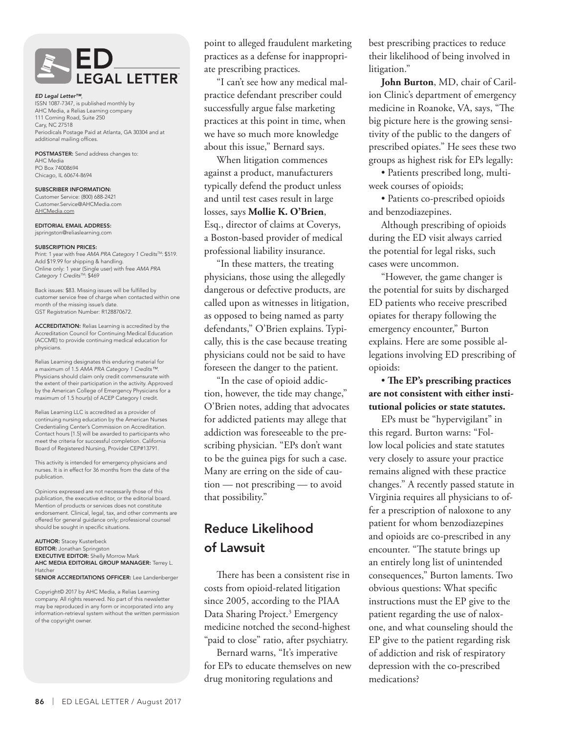

#### *ED Legal Letter™*,

ISSN 1087-7347, is published monthly by AHC Media, a Relias Learning company 111 Corning Road, Suite 250 Cary, NC 27518 Periodicals Postage Paid at Atlanta, GA 30304 and at additional mailing offices.

POSTMASTER: Send address changes to: AHC Media PO Box 74008694 Chicago, IL 60674-8694

SUBSCRIBER INFORMATION: Customer Service: (800) 688-2421 Customer.Service@AHCMedia.com AHCMedia.com

EDITORIAL EMAIL ADDRESS: jspringston@reliaslearning.com

#### SUBSCRIPTION PRICES:

Print: 1 year with free *AMA PRA Category 1 CreditsTM*: \$519. Add \$19.99 for shipping & handling. Online only: 1 year (Single user) with free *AMA PRA Category 1 CreditsTM*: \$469

Back issues: \$83. Missing issues will be fulfilled by customer service free of charge when contacted within one month of the missing issue's date. GST Registration Number: R128870672

ACCREDITATION: Relias Learning is accredited by the Accreditation Council for Continuing Medical Education (ACCME) to provide continuing medical education for physicians.

Relias Learning designates this enduring material for a maximum of 1.5 *AMA PRA Category 1 Credits™*. Physicians should claim only credit commensurate with the extent of their participation in the activity. Approved by the American College of Emergency Physicians for a maximum of 1.5 hour(s) of ACEP Category I credit.

Relias Learning LLC is accredited as a provider of continuing nursing education by the American Nurses Credentialing Center's Commission on Accreditation. Contact hours [1.5] will be awarded to participants who meet the criteria for successful completion. California Board of Registered Nursing, Provider CEP#13791.

This activity is intended for emergency physicians and nurses. It is in effect for 36 months from the date of the publication.

Opinions expressed are not necessarily those of this publication, the executive editor, or the editorial board. Mention of products or services does not constitute endorsement. Clinical, legal, tax, and other comments are offered for general guidance only; professional counsel should be sought in specific situations.

AUTHOR: Stacey Kusterbeck EDITOR: Jonathan Springston **EXECUTIVE EDITOR:** Shelly Morrow Mark AHC MEDIA EDITORIAL GROUP MANAGER: Terrey L. Hatcher SENIOR ACCREDITATIONS OFFICER: Lee Landenberger

Copyright© 2017 by AHC Media, a Relias Learning company. All rights reserved. No part of this newsletter may be reproduced in any form or incorporated into any information-retrieval system without the written permission of the copyright owner.

point to alleged fraudulent marketing practices as a defense for inappropriate prescribing practices.

"I can't see how any medical malpractice defendant prescriber could successfully argue false marketing practices at this point in time, when we have so much more knowledge about this issue," Bernard says.

When litigation commences against a product, manufacturers typically defend the product unless and until test cases result in large losses, says **Mollie K. O'Brien**, Esq., director of claims at Coverys, a Boston-based provider of medical professional liability insurance.

"In these matters, the treating physicians, those using the allegedly dangerous or defective products, are called upon as witnesses in litigation, as opposed to being named as party defendants," O'Brien explains. Typically, this is the case because treating physicians could not be said to have foreseen the danger to the patient.

"In the case of opioid addiction, however, the tide may change," O'Brien notes, adding that advocates for addicted patients may allege that addiction was foreseeable to the prescribing physician. "EPs don't want to be the guinea pigs for such a case. Many are erring on the side of caution — not prescribing — to avoid that possibility."

## Reduce Likelihood of Lawsuit

There has been a consistent rise in costs from opioid-related litigation since 2005, according to the PIAA Data Sharing Project.<sup>3</sup> Emergency medicine notched the second-highest "paid to close" ratio, after psychiatry.

Bernard warns, "It's imperative for EPs to educate themselves on new drug monitoring regulations and

best prescribing practices to reduce their likelihood of being involved in litigation."

**John Burton**, MD, chair of Carilion Clinic's department of emergency medicine in Roanoke, VA, says, "The big picture here is the growing sensitivity of the public to the dangers of prescribed opiates." He sees these two groups as highest risk for EPs legally:

• Patients prescribed long, multiweek courses of opioids;

• Patients co-prescribed opioids and benzodiazepines.

Although prescribing of opioids during the ED visit always carried the potential for legal risks, such cases were uncommon.

"However, the game changer is the potential for suits by discharged ED patients who receive prescribed opiates for therapy following the emergency encounter," Burton explains. Here are some possible allegations involving ED prescribing of opioids:

#### • **The EP's prescribing practices are not consistent with either institutional policies or state statutes.**

EPs must be "hypervigilant" in this regard. Burton warns: "Follow local policies and state statutes very closely to assure your practice remains aligned with these practice changes." A recently passed statute in Virginia requires all physicians to offer a prescription of naloxone to any patient for whom benzodiazepines and opioids are co-prescribed in any encounter. "The statute brings up an entirely long list of unintended consequences," Burton laments. Two obvious questions: What specific instructions must the EP give to the patient regarding the use of naloxone, and what counseling should the EP give to the patient regarding risk of addiction and risk of respiratory depression with the co-prescribed medications?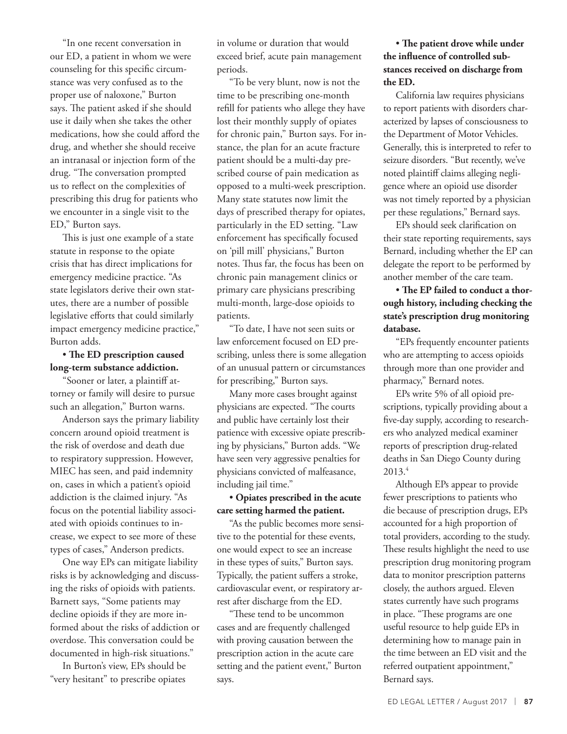"In one recent conversation in our ED, a patient in whom we were counseling for this specific circumstance was very confused as to the proper use of naloxone," Burton says. The patient asked if she should use it daily when she takes the other medications, how she could afford the drug, and whether she should receive an intranasal or injection form of the drug. "The conversation prompted us to reflect on the complexities of prescribing this drug for patients who we encounter in a single visit to the ED," Burton says.

This is just one example of a state statute in response to the opiate crisis that has direct implications for emergency medicine practice. "As state legislators derive their own statutes, there are a number of possible legislative efforts that could similarly impact emergency medicine practice," Burton adds.

• **The ED prescription caused long-term substance addiction.**

"Sooner or later, a plaintiff attorney or family will desire to pursue such an allegation," Burton warns.

Anderson says the primary liability concern around opioid treatment is the risk of overdose and death due to respiratory suppression. However, MIEC has seen, and paid indemnity on, cases in which a patient's opioid addiction is the claimed injury. "As focus on the potential liability associated with opioids continues to increase, we expect to see more of these types of cases," Anderson predicts.

One way EPs can mitigate liability risks is by acknowledging and discussing the risks of opioids with patients. Barnett says, "Some patients may decline opioids if they are more informed about the risks of addiction or overdose. This conversation could be documented in high-risk situations."

In Burton's view, EPs should be "very hesitant" to prescribe opiates

in volume or duration that would exceed brief, acute pain management periods.

"To be very blunt, now is not the time to be prescribing one-month refill for patients who allege they have lost their monthly supply of opiates for chronic pain," Burton says. For instance, the plan for an acute fracture patient should be a multi-day prescribed course of pain medication as opposed to a multi-week prescription. Many state statutes now limit the days of prescribed therapy for opiates, particularly in the ED setting. "Law enforcement has specifically focused on 'pill mill' physicians," Burton notes. Thus far, the focus has been on chronic pain management clinics or primary care physicians prescribing multi-month, large-dose opioids to patients.

"To date, I have not seen suits or law enforcement focused on ED prescribing, unless there is some allegation of an unusual pattern or circumstances for prescribing," Burton says.

Many more cases brought against physicians are expected. "The courts and public have certainly lost their patience with excessive opiate prescribing by physicians," Burton adds. "We have seen very aggressive penalties for physicians convicted of malfeasance, including jail time."

• **Opiates prescribed in the acute care setting harmed the patient.**

"As the public becomes more sensitive to the potential for these events, one would expect to see an increase in these types of suits," Burton says. Typically, the patient suffers a stroke, cardiovascular event, or respiratory arrest after discharge from the ED.

"These tend to be uncommon cases and are frequently challenged with proving causation between the prescription action in the acute care setting and the patient event," Burton says.

### • **The patient drove while under the influence of controlled substances received on discharge from the ED.**

California law requires physicians to report patients with disorders characterized by lapses of consciousness to the Department of Motor Vehicles. Generally, this is interpreted to refer to seizure disorders. "But recently, we've noted plaintiff claims alleging negligence where an opioid use disorder was not timely reported by a physician per these regulations," Bernard says.

EPs should seek clarification on their state reporting requirements, says Bernard, including whether the EP can delegate the report to be performed by another member of the care team.

## • **The EP failed to conduct a thorough history, including checking the state's prescription drug monitoring database.**

"EPs frequently encounter patients who are attempting to access opioids through more than one provider and pharmacy," Bernard notes.

EPs write 5% of all opioid prescriptions, typically providing about a five-day supply, according to researchers who analyzed medical examiner reports of prescription drug-related deaths in San Diego County during 2013.4

Although EPs appear to provide fewer prescriptions to patients who die because of prescription drugs, EPs accounted for a high proportion of total providers, according to the study. These results highlight the need to use prescription drug monitoring program data to monitor prescription patterns closely, the authors argued. Eleven states currently have such programs in place. "These programs are one useful resource to help guide EPs in determining how to manage pain in the time between an ED visit and the referred outpatient appointment," Bernard says.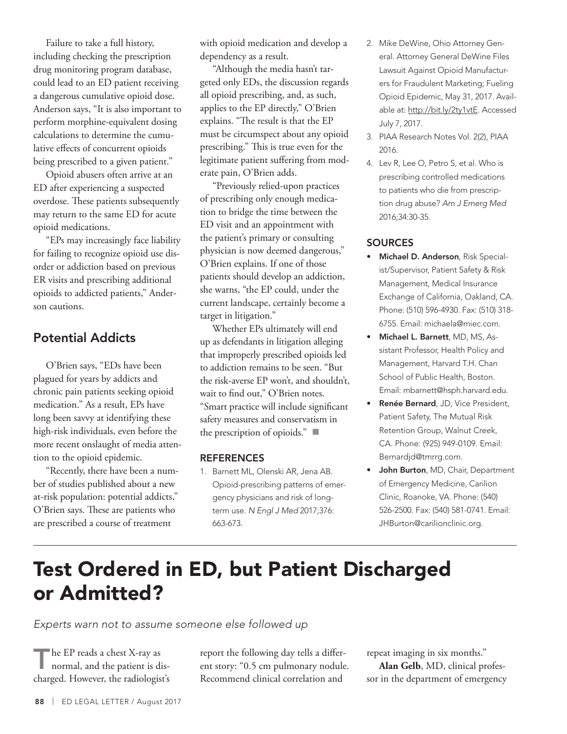Failure to take a full history, including checking the prescription drug monitoring program database, could lead to an ED patient receiving a dangerous cumulative opioid dose. Anderson says, "It is also important to perform morphine-equivalent dosing calculations to determine the cumulative effects of concurrent opioids being prescribed to a given patient."

Opioid abusers often arrive at an ED after experiencing a suspected overdose. These patients subsequently may return to the same ED for acute opioid medications.

"EPs may increasingly face liability for failing to recognize opioid use disorder or addiction based on previous ER visits and prescribing additional opioids to addicted patients," Anderson cautions.

## Potential Addicts

O'Brien says, "EDs have been plagued for years by addicts and chronic pain patients seeking opioid medication." As a result, EPs have long been savvy at identifying these high-risk individuals, even before the more recent onslaught of media attention to the opioid epidemic.

"Recently, there have been a number of studies published about a new at-risk population: potential addicts," O'Brien says. These are patients who are prescribed a course of treatment

with opioid medication and develop a dependency as a result.

"Although the media hasn't targeted only EDs, the discussion regards all opioid prescribing, and, as such, applies to the EP directly," O'Brien explains. "The result is that the EP must be circumspect about any opioid prescribing." This is true even for the legitimate patient suffering from moderate pain, O'Brien adds.

"Previously relied-upon practices of prescribing only enough medication to bridge the time between the ED visit and an appointment with the patient's primary or consulting physician is now deemed dangerous," O'Brien explains. If one of those patients should develop an addiction, she warns, "the EP could, under the current landscape, certainly become a target in litigation."

Whether EPs ultimately will end up as defendants in litigation alleging that improperly prescribed opioids led to addiction remains to be seen. "But the risk-averse EP won't, and shouldn't, wait to find out," O'Brien notes. "Smart practice will include significant safety measures and conservatism in the prescription of opioids."  $\blacksquare$ 

#### **REFERENCES**

1. Barnett ML, Olenski AR, Jena AB. Opioid-prescribing patterns of emergency physicians and risk of longterm use. *N Engl J Med* 2017;376: 663-673.

- 2. Mike DeWine, Ohio Attorney General. Attorney General DeWine Files Lawsuit Against Opioid Manufacturers for Fraudulent Marketing; Fueling Opioid Epidemic, May 31, 2017. Available at: http://bit.ly/2ty1vtE. Accessed July 7, 2017.
- 3. PIAA Research Notes Vol. 2(2), PIAA 2016.
- 4. Lev R, Lee O, Petro S, et al. Who is prescribing controlled medications to patients who die from prescription drug abuse? *Am J Emerg Med* 2016;34:30-35.

### SOURCES

- Michael D. Anderson, Risk Specialist/Supervisor, Patient Safety & Risk Management, Medical Insurance Exchange of California, Oakland, CA. Phone: (510) 596-4930. Fax: (510) 318- 6755. Email: michaela@miec.com.
- Michael L. Barnett, MD, MS, Assistant Professor, Health Policy and Management, Harvard T.H. Chan School of Public Health, Boston. Email: mbarnett@hsph.harvard.edu.
- Renée Bernard, JD, Vice President, Patient Safety, The Mutual Risk Retention Group, Walnut Creek, CA. Phone: (925) 949-0109. Email: Bernardjd@tmrrg.com.
- John Burton, MD, Chair, Department of Emergency Medicine, Carilion Clinic, Roanoke, VA. Phone: (540) 526-2500. Fax: (540) 581-0741. Email: JHBurton@carilionclinic.org.

## Test Ordered in ED, but Patient Discharged or Admitted?

*Experts warn not to assume someone else followed up*

The EP reads a chest X-ray as normal, and the patient is discharged. However, the radiologist's report the following day tells a different story: "0.5 cm pulmonary nodule. Recommend clinical correlation and

repeat imaging in six months."

**Alan Gelb**, MD, clinical professor in the department of emergency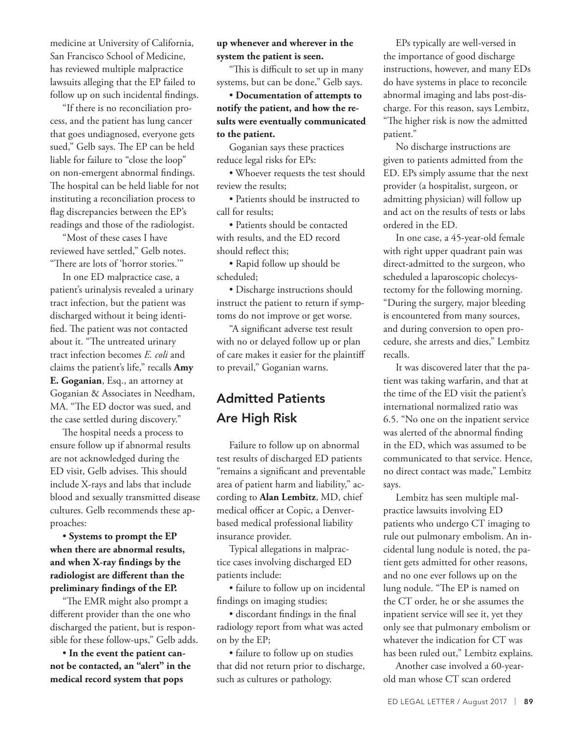medicine at University of California, San Francisco School of Medicine, has reviewed multiple malpractice lawsuits alleging that the EP failed to follow up on such incidental findings.

"If there is no reconciliation process, and the patient has lung cancer that goes undiagnosed, everyone gets sued," Gelb says. The EP can be held liable for failure to "close the loop" on non-emergent abnormal findings. The hospital can be held liable for not instituting a reconciliation process to flag discrepancies between the EP's readings and those of the radiologist.

"Most of these cases I have reviewed have settled," Gelb notes. "There are lots of 'horror stories.'"

In one ED malpractice case, a patient's urinalysis revealed a urinary tract infection, but the patient was discharged without it being identified. The patient was not contacted about it. "The untreated urinary tract infection becomes *E. coli* and claims the patient's life," recalls **Amy E. Goganian**, Esq., an attorney at Goganian & Associates in Needham, MA. "The ED doctor was sued, and the case settled during discovery."

The hospital needs a process to ensure follow up if abnormal results are not acknowledged during the ED visit, Gelb advises. This should include X-rays and labs that include blood and sexually transmitted disease cultures. Gelb recommends these approaches:

• **Systems to prompt the EP when there are abnormal results, and when X-ray findings by the radiologist are different than the preliminary findings of the EP.**

"The EMR might also prompt a different provider than the one who discharged the patient, but is responsible for these follow-ups," Gelb adds.

• **In the event the patient cannot be contacted, an "alert" in the medical record system that pops** 

### **up whenever and wherever in the system the patient is seen.**

"This is difficult to set up in many systems, but can be done," Gelb says.

• **Documentation of attempts to notify the patient, and how the results were eventually communicated to the patient.**

Goganian says these practices reduce legal risks for EPs:

• Whoever requests the test should review the results;

• Patients should be instructed to call for results;

• Patients should be contacted with results, and the ED record should reflect this;

• Rapid follow up should be scheduled;

• Discharge instructions should instruct the patient to return if symptoms do not improve or get worse.

"A significant adverse test result with no or delayed follow up or plan of care makes it easier for the plaintiff to prevail," Goganian warns.

## Admitted Patients Are High Risk

Failure to follow up on abnormal test results of discharged ED patients "remains a significant and preventable area of patient harm and liability," according to **Alan Lembitz**, MD, chief medical officer at Copic, a Denverbased medical professional liability insurance provider.

Typical allegations in malpractice cases involving discharged ED patients include:

• failure to follow up on incidental findings on imaging studies;

• discordant findings in the final radiology report from what was acted on by the EP;

• failure to follow up on studies that did not return prior to discharge, such as cultures or pathology.

EPs typically are well-versed in the importance of good discharge instructions, however, and many EDs do have systems in place to reconcile abnormal imaging and labs post-discharge. For this reason, says Lembitz, "The higher risk is now the admitted patient."

No discharge instructions are given to patients admitted from the ED. EPs simply assume that the next provider (a hospitalist, surgeon, or admitting physician) will follow up and act on the results of tests or labs ordered in the ED.

In one case, a 45-year-old female with right upper quadrant pain was direct-admitted to the surgeon, who scheduled a laparoscopic cholecystectomy for the following morning. "During the surgery, major bleeding is encountered from many sources, and during conversion to open procedure, she arrests and dies," Lembitz recalls.

It was discovered later that the patient was taking warfarin, and that at the time of the ED visit the patient's international normalized ratio was 6.5. "No one on the inpatient service was alerted of the abnormal finding in the ED, which was assumed to be communicated to that service. Hence, no direct contact was made," Lembitz says.

Lembitz has seen multiple malpractice lawsuits involving ED patients who undergo CT imaging to rule out pulmonary embolism. An incidental lung nodule is noted, the patient gets admitted for other reasons, and no one ever follows up on the lung nodule. "The EP is named on the CT order, he or she assumes the inpatient service will see it, yet they only see that pulmonary embolism or whatever the indication for CT was has been ruled out," Lembitz explains.

Another case involved a 60-yearold man whose CT scan ordered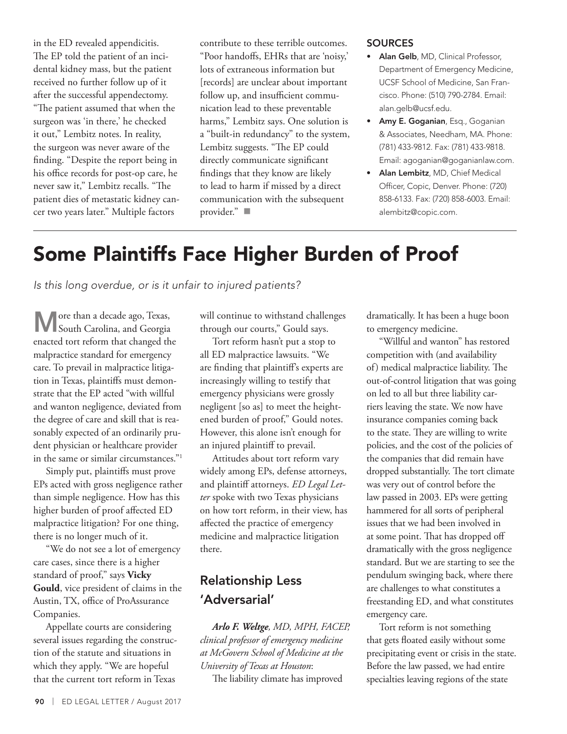in the ED revealed appendicitis. The EP told the patient of an incidental kidney mass, but the patient received no further follow up of it after the successful appendectomy. "The patient assumed that when the surgeon was 'in there,' he checked it out," Lembitz notes. In reality, the surgeon was never aware of the finding. "Despite the report being in his office records for post-op care, he never saw it," Lembitz recalls. "The patient dies of metastatic kidney cancer two years later." Multiple factors

contribute to these terrible outcomes. "Poor handoffs, EHRs that are 'noisy,' lots of extraneous information but [records] are unclear about important follow up, and insufficient communication lead to these preventable harms," Lembitz says. One solution is a "built-in redundancy" to the system, Lembitz suggests. "The EP could directly communicate significant findings that they know are likely to lead to harm if missed by a direct communication with the subsequent provider." $\blacksquare$ 

#### **SOURCES**

- Alan Gelb, MD, Clinical Professor, Department of Emergency Medicine, UCSF School of Medicine, San Francisco. Phone: (510) 790-2784. Email: alan.gelb@ucsf.edu.
- Amy E. Goganian, Esq., Goganian & Associates, Needham, MA. Phone: (781) 433-9812. Fax: (781) 433-9818. Email: agoganian@goganianlaw.com.
- Alan Lembitz, MD, Chief Medical Officer, Copic, Denver. Phone: (720) 858-6133. Fax: (720) 858-6003. Email: alembitz@copic.com.

## Some Plaintiffs Face Higher Burden of Proof

*Is this long overdue, or is it unfair to injured patients?*

More than a decade ago, Texas, South Carolina, and Georgia enacted tort reform that changed the malpractice standard for emergency care. To prevail in malpractice litigation in Texas, plaintiffs must demonstrate that the EP acted "with willful and wanton negligence, deviated from the degree of care and skill that is reasonably expected of an ordinarily prudent physician or healthcare provider in the same or similar circumstances."1

Simply put, plaintiffs must prove EPs acted with gross negligence rather than simple negligence. How has this higher burden of proof affected ED malpractice litigation? For one thing, there is no longer much of it.

"We do not see a lot of emergency care cases, since there is a higher standard of proof," says **Vicky Gould**, vice president of claims in the Austin, TX, office of ProAssurance Companies.

Appellate courts are considering several issues regarding the construction of the statute and situations in which they apply. "We are hopeful that the current tort reform in Texas

will continue to withstand challenges through our courts," Gould says.

Tort reform hasn't put a stop to all ED malpractice lawsuits. "We are finding that plaintiff's experts are increasingly willing to testify that emergency physicians were grossly negligent [so as] to meet the heightened burden of proof," Gould notes. However, this alone isn't enough for an injured plaintiff to prevail.

Attitudes about tort reform vary widely among EPs, defense attorneys, and plaintiff attorneys. *ED Legal Letter* spoke with two Texas physicians on how tort reform, in their view, has affected the practice of emergency medicine and malpractice litigation there.

## Relationship Less 'Adversarial'

*Arlo F. Weltge, MD, MPH, FACEP, clinical professor of emergency medicine at McGovern School of Medicine at the University of Texas at Houston*:

The liability climate has improved

dramatically. It has been a huge boon to emergency medicine.

"Willful and wanton" has restored competition with (and availability of) medical malpractice liability. The out-of-control litigation that was going on led to all but three liability carriers leaving the state. We now have insurance companies coming back to the state. They are willing to write policies, and the cost of the policies of the companies that did remain have dropped substantially. The tort climate was very out of control before the law passed in 2003. EPs were getting hammered for all sorts of peripheral issues that we had been involved in at some point. That has dropped off dramatically with the gross negligence standard. But we are starting to see the pendulum swinging back, where there are challenges to what constitutes a freestanding ED, and what constitutes emergency care.

Tort reform is not something that gets floated easily without some precipitating event or crisis in the state. Before the law passed, we had entire specialties leaving regions of the state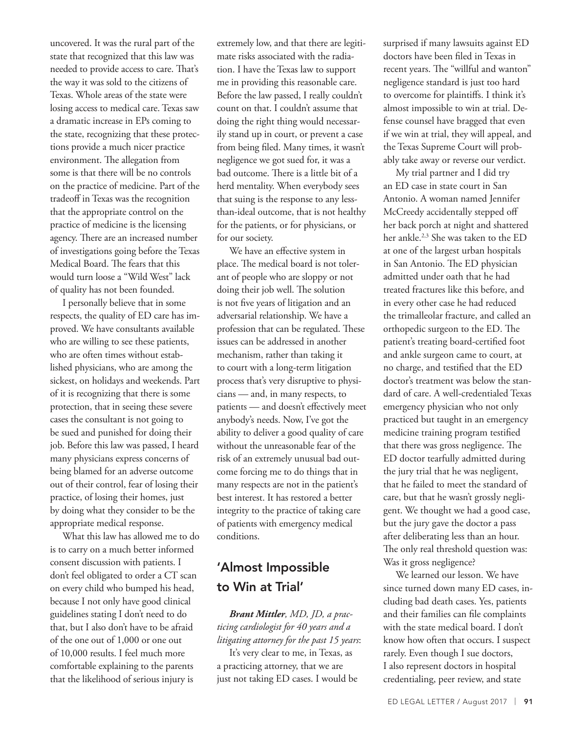uncovered. It was the rural part of the state that recognized that this law was needed to provide access to care. That's the way it was sold to the citizens of Texas. Whole areas of the state were losing access to medical care. Texas saw a dramatic increase in EPs coming to the state, recognizing that these protections provide a much nicer practice environment. The allegation from some is that there will be no controls on the practice of medicine. Part of the tradeoff in Texas was the recognition that the appropriate control on the practice of medicine is the licensing agency. There are an increased number of investigations going before the Texas Medical Board. The fears that this would turn loose a "Wild West" lack of quality has not been founded.

I personally believe that in some respects, the quality of ED care has improved. We have consultants available who are willing to see these patients, who are often times without established physicians, who are among the sickest, on holidays and weekends. Part of it is recognizing that there is some protection, that in seeing these severe cases the consultant is not going to be sued and punished for doing their job. Before this law was passed, I heard many physicians express concerns of being blamed for an adverse outcome out of their control, fear of losing their practice, of losing their homes, just by doing what they consider to be the appropriate medical response.

What this law has allowed me to do is to carry on a much better informed consent discussion with patients. I don't feel obligated to order a CT scan on every child who bumped his head, because I not only have good clinical guidelines stating I don't need to do that, but I also don't have to be afraid of the one out of 1,000 or one out of 10,000 results. I feel much more comfortable explaining to the parents that the likelihood of serious injury is

extremely low, and that there are legitimate risks associated with the radiation. I have the Texas law to support me in providing this reasonable care. Before the law passed, I really couldn't count on that. I couldn't assume that doing the right thing would necessarily stand up in court, or prevent a case from being filed. Many times, it wasn't negligence we got sued for, it was a bad outcome. There is a little bit of a herd mentality. When everybody sees that suing is the response to any lessthan-ideal outcome, that is not healthy for the patients, or for physicians, or for our society.

We have an effective system in place. The medical board is not tolerant of people who are sloppy or not doing their job well. The solution is not five years of litigation and an adversarial relationship. We have a profession that can be regulated. These issues can be addressed in another mechanism, rather than taking it to court with a long-term litigation process that's very disruptive to physicians — and, in many respects, to patients — and doesn't effectively meet anybody's needs. Now, I've got the ability to deliver a good quality of care without the unreasonable fear of the risk of an extremely unusual bad outcome forcing me to do things that in many respects are not in the patient's best interest. It has restored a better integrity to the practice of taking care of patients with emergency medical conditions.

## 'Almost Impossible to Win at Trial'

*Brant Mittler, MD, JD, a practicing cardiologist for 40 years and a litigating attorney for the past 15 years*:

It's very clear to me, in Texas, as a practicing attorney, that we are just not taking ED cases. I would be surprised if many lawsuits against ED doctors have been filed in Texas in recent years. The "willful and wanton" negligence standard is just too hard to overcome for plaintiffs. I think it's almost impossible to win at trial. Defense counsel have bragged that even if we win at trial, they will appeal, and the Texas Supreme Court will probably take away or reverse our verdict.

My trial partner and I did try an ED case in state court in San Antonio. A woman named Jennifer McCreedy accidentally stepped off her back porch at night and shattered her ankle.2,3 She was taken to the ED at one of the largest urban hospitals in San Antonio. The ED physician admitted under oath that he had treated fractures like this before, and in every other case he had reduced the trimalleolar fracture, and called an orthopedic surgeon to the ED. The patient's treating board-certified foot and ankle surgeon came to court, at no charge, and testified that the ED doctor's treatment was below the standard of care. A well-credentialed Texas emergency physician who not only practiced but taught in an emergency medicine training program testified that there was gross negligence. The ED doctor tearfully admitted during the jury trial that he was negligent, that he failed to meet the standard of care, but that he wasn't grossly negligent. We thought we had a good case, but the jury gave the doctor a pass after deliberating less than an hour. The only real threshold question was: Was it gross negligence?

We learned our lesson. We have since turned down many ED cases, including bad death cases. Yes, patients and their families can file complaints with the state medical board. I don't know how often that occurs. I suspect rarely. Even though I sue doctors, I also represent doctors in hospital credentialing, peer review, and state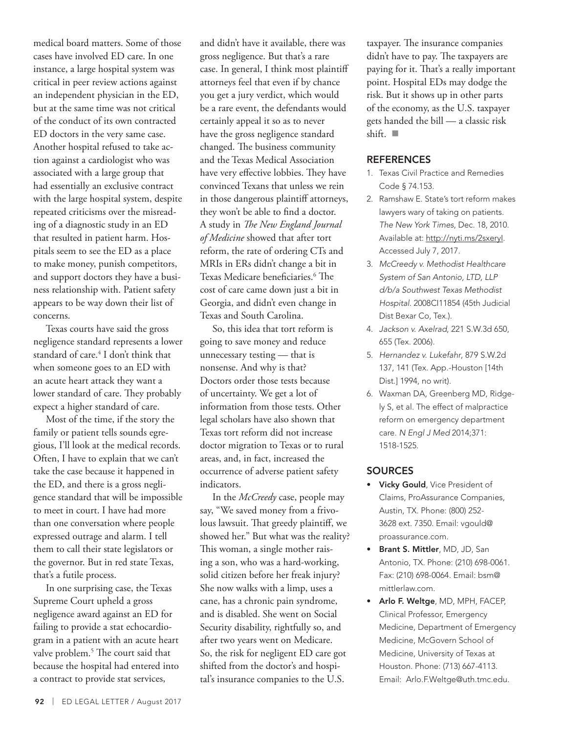medical board matters. Some of those cases have involved ED care. In one instance, a large hospital system was critical in peer review actions against an independent physician in the ED, but at the same time was not critical of the conduct of its own contracted ED doctors in the very same case. Another hospital refused to take action against a cardiologist who was associated with a large group that had essentially an exclusive contract with the large hospital system, despite repeated criticisms over the misreading of a diagnostic study in an ED that resulted in patient harm. Hospitals seem to see the ED as a place to make money, punish competitors, and support doctors they have a business relationship with. Patient safety appears to be way down their list of concerns.

Texas courts have said the gross negligence standard represents a lower standard of care.4 I don't think that when someone goes to an ED with an acute heart attack they want a lower standard of care. They probably expect a higher standard of care.

Most of the time, if the story the family or patient tells sounds egregious, I'll look at the medical records. Often, I have to explain that we can't take the case because it happened in the ED, and there is a gross negligence standard that will be impossible to meet in court. I have had more than one conversation where people expressed outrage and alarm. I tell them to call their state legislators or the governor. But in red state Texas, that's a futile process.

In one surprising case, the Texas Supreme Court upheld a gross negligence award against an ED for failing to provide a stat echocardiogram in a patient with an acute heart valve problem.<sup>5</sup> The court said that because the hospital had entered into a contract to provide stat services,

and didn't have it available, there was gross negligence. But that's a rare case. In general, I think most plaintiff attorneys feel that even if by chance you get a jury verdict, which would be a rare event, the defendants would certainly appeal it so as to never have the gross negligence standard changed. The business community and the Texas Medical Association have very effective lobbies. They have convinced Texans that unless we rein in those dangerous plaintiff attorneys, they won't be able to find a doctor. A study in *The New England Journal of Medicine* showed that after tort reform, the rate of ordering CTs and MRIs in ERs didn't change a bit in Texas Medicare beneficiaries.6 The cost of care came down just a bit in Georgia, and didn't even change in Texas and South Carolina.

So, this idea that tort reform is going to save money and reduce unnecessary testing — that is nonsense. And why is that? Doctors order those tests because of uncertainty. We get a lot of information from those tests. Other legal scholars have also shown that Texas tort reform did not increase doctor migration to Texas or to rural areas, and, in fact, increased the occurrence of adverse patient safety indicators.

In the *McCreedy* case, people may say, "We saved money from a frivolous lawsuit. That greedy plaintiff, we showed her." But what was the reality? This woman, a single mother raising a son, who was a hard-working, solid citizen before her freak injury? She now walks with a limp, uses a cane, has a chronic pain syndrome, and is disabled. She went on Social Security disability, rightfully so, and after two years went on Medicare. So, the risk for negligent ED care got shifted from the doctor's and hospital's insurance companies to the U.S.

taxpayer. The insurance companies didn't have to pay. The taxpayers are paying for it. That's a really important point. Hospital EDs may dodge the risk. But it shows up in other parts of the economy, as the U.S. taxpayer gets handed the bill — a classic risk shift.  $\blacksquare$ 

#### **REFERENCES**

- 1. Texas Civil Practice and Remedies Code § 74.153.
- 2. Ramshaw E. State's tort reform makes lawyers wary of taking on patients. *The New York Times*, Dec. 18, 2010. Available at: http://nyti.ms/2sxeryI. Accessed July 7, 2017.
- 3. *McCreedy v. Methodist Healthcare System of San Antonio, LTD, LLP d/b/a Southwest Texas Methodist Hospital*. 2008CI11854 (45th Judicial Dist Bexar Co, Tex.).
- 4. *Jackson v. Axelrad*, 221 S.W.3d 650, 655 (Tex. 2006).
- 5. *Hernandez v. Lukefahr*, 879 S.W.2d 137, 141 (Tex. App.-Houston [14th Dist.] 1994, no writ).
- 6. Waxman DA, Greenberg MD, Ridgely S, et al. The effect of malpractice reform on emergency department care. *N Engl J Med* 2014;371: 1518-1525.

#### **SOURCES**

- Vicky Gould, Vice President of Claims, ProAssurance Companies, Austin, TX. Phone: (800) 252- 3628 ext. 7350. Email: vgould@ proassurance.com.
- Brant S. Mittler, MD, JD, San Antonio, TX. Phone: (210) 698-0061. Fax: (210) 698-0064. Email: bsm@ mittlerlaw.com.
- Arlo F. Weltge, MD, MPH, FACEP, Clinical Professor, Emergency Medicine, Department of Emergency Medicine, McGovern School of Medicine, University of Texas at Houston. Phone: (713) 667-4113. Email: Arlo.F.Weltge@uth.tmc.edu.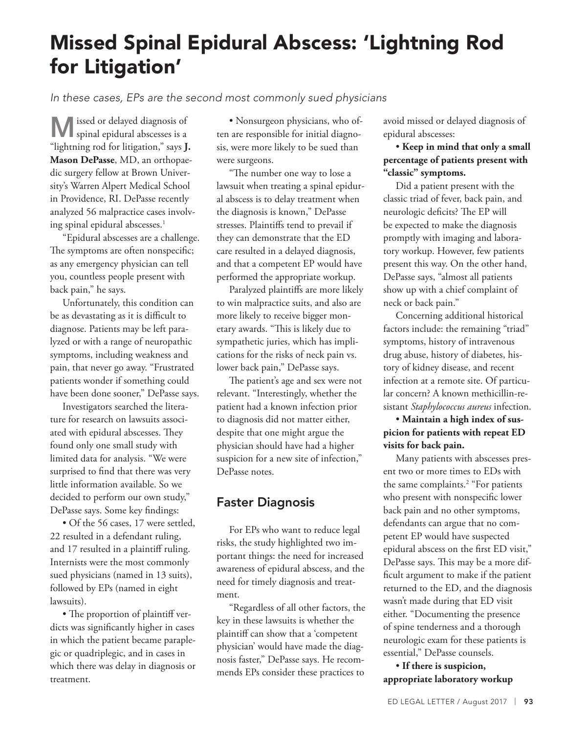## Missed Spinal Epidural Abscess: 'Lightning Rod for Litigation'

*In these cases, EPs are the second most commonly sued physicians*

Missed or delayed diagnosis of spinal epidural abscesses is a "lightning rod for litigation," says **J. Mason DePasse**, MD, an orthopaedic surgery fellow at Brown University's Warren Alpert Medical School in Providence, RI. DePasse recently analyzed 56 malpractice cases involving spinal epidural abscesses.<sup>1</sup>

"Epidural abscesses are a challenge. The symptoms are often nonspecific; as any emergency physician can tell you, countless people present with back pain," he says.

Unfortunately, this condition can be as devastating as it is difficult to diagnose. Patients may be left paralyzed or with a range of neuropathic symptoms, including weakness and pain, that never go away. "Frustrated patients wonder if something could have been done sooner," DePasse says.

Investigators searched the literature for research on lawsuits associated with epidural abscesses. They found only one small study with limited data for analysis. "We were surprised to find that there was very little information available. So we decided to perform our own study," DePasse says. Some key findings:

• Of the 56 cases, 17 were settled, 22 resulted in a defendant ruling, and 17 resulted in a plaintiff ruling. Internists were the most commonly sued physicians (named in 13 suits), followed by EPs (named in eight lawsuits).

• The proportion of plaintiff verdicts was significantly higher in cases in which the patient became paraplegic or quadriplegic, and in cases in which there was delay in diagnosis or treatment.

• Nonsurgeon physicians, who often are responsible for initial diagnosis, were more likely to be sued than were surgeons.

"The number one way to lose a lawsuit when treating a spinal epidural abscess is to delay treatment when the diagnosis is known," DePasse stresses. Plaintiffs tend to prevail if they can demonstrate that the ED care resulted in a delayed diagnosis, and that a competent EP would have performed the appropriate workup.

Paralyzed plaintiffs are more likely to win malpractice suits, and also are more likely to receive bigger monetary awards. "This is likely due to sympathetic juries, which has implications for the risks of neck pain vs. lower back pain," DePasse says.

The patient's age and sex were not relevant. "Interestingly, whether the patient had a known infection prior to diagnosis did not matter either, despite that one might argue the physician should have had a higher suspicion for a new site of infection," DePasse notes.

## Faster Diagnosis

For EPs who want to reduce legal risks, the study highlighted two important things: the need for increased awareness of epidural abscess, and the need for timely diagnosis and treatment.

"Regardless of all other factors, the key in these lawsuits is whether the plaintiff can show that a 'competent physician' would have made the diagnosis faster," DePasse says. He recommends EPs consider these practices to

avoid missed or delayed diagnosis of epidural abscesses:

## • **Keep in mind that only a small percentage of patients present with "classic" symptoms.**

Did a patient present with the classic triad of fever, back pain, and neurologic deficits? The EP will be expected to make the diagnosis promptly with imaging and laboratory workup. However, few patients present this way. On the other hand, DePasse says, "almost all patients show up with a chief complaint of neck or back pain."

Concerning additional historical factors include: the remaining "triad" symptoms, history of intravenous drug abuse, history of diabetes, history of kidney disease, and recent infection at a remote site. Of particular concern? A known methicillin-resistant *Staphylococcus aureus* infection.

## • **Maintain a high index of suspicion for patients with repeat ED visits for back pain.**

Many patients with abscesses present two or more times to EDs with the same complaints.<sup>2</sup> "For patients who present with nonspecific lower back pain and no other symptoms, defendants can argue that no competent EP would have suspected epidural abscess on the first ED visit," DePasse says. This may be a more difficult argument to make if the patient returned to the ED, and the diagnosis wasn't made during that ED visit either. "Documenting the presence of spine tenderness and a thorough neurologic exam for these patients is essential," DePasse counsels.

### • **If there is suspicion, appropriate laboratory workup**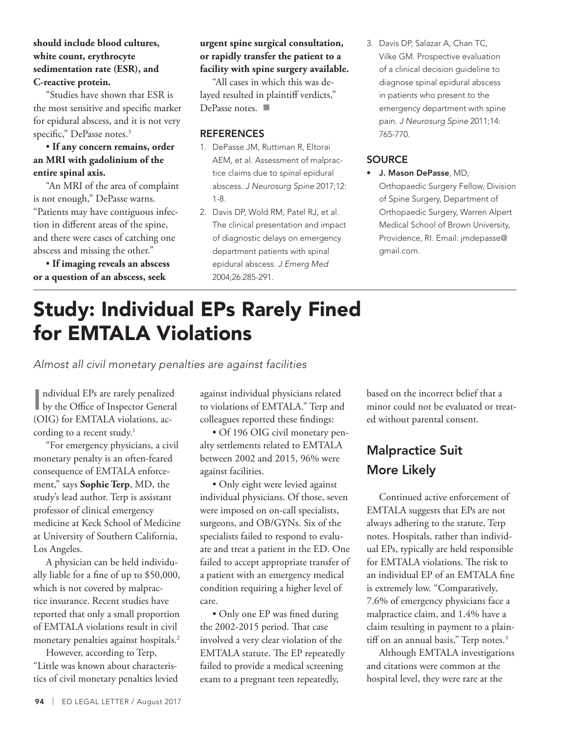### **should include blood cultures, white count, erythrocyte sedimentation rate (ESR), and C-reactive protein.**

"Studies have shown that ESR is the most sensitive and specific marker for epidural abscess, and it is not very specific," DePasse notes.<sup>3</sup>

## • **If any concern remains, order an MRI with gadolinium of the entire spinal axis.**

"An MRI of the area of complaint is not enough," DePasse warns. "Patients may have contiguous infection in different areas of the spine, and there were cases of catching one abscess and missing the other."

• **If imaging reveals an abscess or a question of an abscess, seek** 

## **urgent spine surgical consultation, or rapidly transfer the patient to a facility with spine surgery available.**

"All cases in which this was delayed resulted in plaintiff verdicts," DePasse notes.  $\blacksquare$ 

## **REFERENCES**

- 1. DePasse JM, Ruttiman R, Eltorai AEM, et al. Assessment of malpractice claims due to spinal epidural abscess. *J Neurosurg Spine* 2017;12: 1-8.
- 2. Davis DP, Wold RM, Patel RJ, et al. The clinical presentation and impact of diagnostic delays on emergency department patients with spinal epidural abscess. *J Emerg Med* 2004;26:285-291.
- 3. Davis DP, Salazar A, Chan TC, Vilke GM. Prospective evaluation of a clinical decision guideline to diagnose spinal epidural abscess in patients who present to the emergency department with spine pain. *J Neurosurg Spine* 2011;14: 765-770.

## **SOURCE**

• J. Mason DePasse, MD, Orthopaedic Surgery Fellow, Division of Spine Surgery, Department of Orthopaedic Surgery, Warren Alpert Medical School of Brown University, Providence, RI. Email: jmdepasse@ gmail.com.

## Study: Individual EPs Rarely Fined for EMTALA Violations

*Almost all civil monetary penalties are against facilities*

|| ndividual EPs are rarely penalized<br>| by the Office of Inspector General ndividual EPs are rarely penalized (OIG) for EMTALA violations, according to a recent study.<sup>1</sup>

"For emergency physicians, a civil monetary penalty is an often-feared consequence of EMTALA enforcement," says **Sophie Terp**, MD, the study's lead author. Terp is assistant professor of clinical emergency medicine at Keck School of Medicine at University of Southern California, Los Angeles.

A physician can be held individually liable for a fine of up to \$50,000, which is not covered by malpractice insurance. Recent studies have reported that only a small proportion of EMTALA violations result in civil monetary penalties against hospitals.<sup>2</sup>

However, according to Terp, "Little was known about characteristics of civil monetary penalties levied against individual physicians related to violations of EMTALA." Terp and colleagues reported these findings:

• Of 196 OIG civil monetary penalty settlements related to EMTALA between 2002 and 2015, 96% were against facilities.

• Only eight were levied against individual physicians. Of those, seven were imposed on on-call specialists, surgeons, and OB/GYNs. Six of the specialists failed to respond to evaluate and treat a patient in the ED. One failed to accept appropriate transfer of a patient with an emergency medical condition requiring a higher level of care.

• Only one EP was fined during the 2002-2015 period. That case involved a very clear violation of the EMTALA statute. The EP repeatedly failed to provide a medical screening exam to a pregnant teen repeatedly,

based on the incorrect belief that a minor could not be evaluated or treated without parental consent.

## Malpractice Suit More Likely

Continued active enforcement of EMTALA suggests that EPs are not always adhering to the statute, Terp notes. Hospitals, rather than individual EPs, typically are held responsible for EMTALA violations. The risk to an individual EP of an EMTALA fine is extremely low. "Comparatively, 7.6% of emergency physicians face a malpractice claim, and 1.4% have a claim resulting in payment to a plaintiff on an annual basis," Terp notes.<sup>3</sup>

Although EMTALA investigations and citations were common at the hospital level, they were rare at the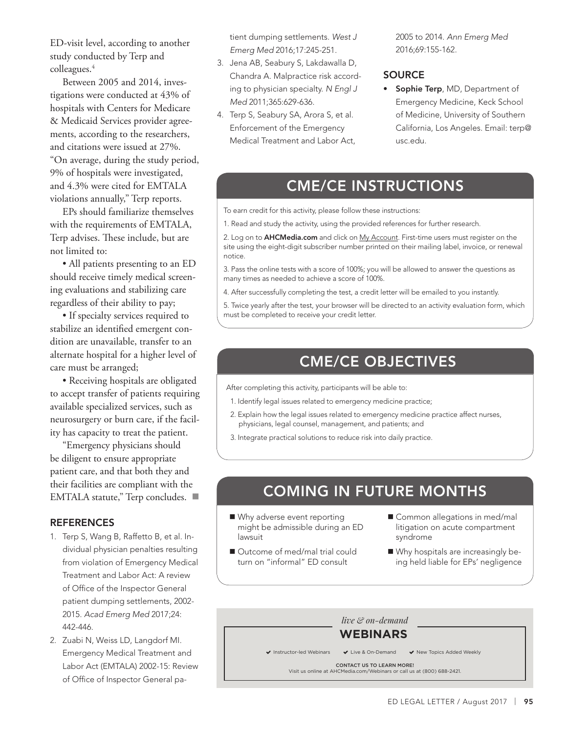ED-visit level, according to another study conducted by Terp and colleagues.<sup>4</sup>

Between 2005 and 2014, investigations were conducted at 43% of hospitals with Centers for Medicare & Medicaid Services provider agreements, according to the researchers, and citations were issued at 27%. "On average, during the study period, 9% of hospitals were investigated, and 4.3% were cited for EMTALA violations annually," Terp reports.

EPs should familiarize themselves with the requirements of EMTALA, Terp advises. These include, but are not limited to:

• All patients presenting to an ED should receive timely medical screening evaluations and stabilizing care regardless of their ability to pay;

• If specialty services required to stabilize an identified emergent condition are unavailable, transfer to an alternate hospital for a higher level of care must be arranged;

• Receiving hospitals are obligated to accept transfer of patients requiring available specialized services, such as neurosurgery or burn care, if the facility has capacity to treat the patient.

"Emergency physicians should be diligent to ensure appropriate patient care, and that both they and their facilities are compliant with the EMTALA statute," Terp concludes.

#### **REFERENCES**

- 1. Terp S, Wang B, Raffetto B, et al. Individual physician penalties resulting from violation of Emergency Medical Treatment and Labor Act: A review of Office of the Inspector General patient dumping settlements, 2002- 2015. *Acad Emerg Med* 2017;24: 442-446.
- 2. Zuabi N, Weiss LD, Langdorf MI. Emergency Medical Treatment and Labor Act (EMTALA) 2002-15: Review of Office of Inspector General pa-

tient dumping settlements. *West J Emerg Med* 2016;17:245-251.

- 3. Jena AB, Seabury S, Lakdawalla D, Chandra A. Malpractice risk according to physician specialty. *N Engl J Med* 2011;365:629-636.
- 4. Terp S, Seabury SA, Arora S, et al. Enforcement of the Emergency Medical Treatment and Labor Act,

2005 to 2014. *Ann Emerg Med* 2016;69:155-162.

#### **SOURCE**

Sophie Terp, MD, Department of Emergency Medicine, Keck School of Medicine, University of Southern California, Los Angeles. Email: terp@ usc.edu.

## CME/CE INSTRUCTIONS

To earn credit for this activity, please follow these instructions:

1. Read and study the activity, using the provided references for further research.

2. Log on to **AHCMedia.com** and click on My Account. First-time users must register on the site using the eight-digit subscriber number printed on their mailing label, invoice, or renewal notice.

3. Pass the online tests with a score of 100%; you will be allowed to answer the questions as many times as needed to achieve a score of 100%.

4. After successfully completing the test, a credit letter will be emailed to you instantly.

5. Twice yearly after the test, your browser will be directed to an activity evaluation form, which must be completed to receive your credit letter.

## CME/CE OBJECTIVES

After completing this activity, participants will be able to:

- 1. Identify legal issues related to emergency medicine practice;
- 2. Explain how the legal issues related to emergency medicine practice affect nurses, physicians, legal counsel, management, and patients; and
- 3. Integrate practical solutions to reduce risk into daily practice.

## COMING IN FUTURE MONTHS

- Why adverse event reporting might be admissible during an ED lawsuit
- Outcome of med/mal trial could turn on "informal" ED consult
- Common allegations in med/mal litigation on acute compartment syndrome
- Why hospitals are increasingly being held liable for EPs' negligence